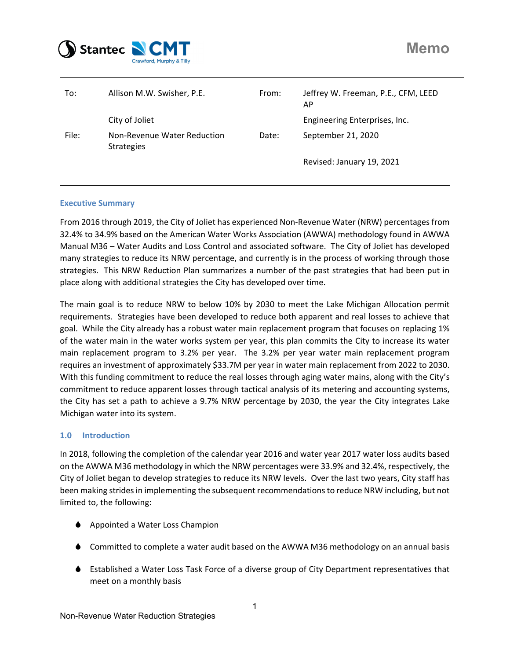

| To:   | Allison M.W. Swisher, P.E.                       | From: | Jeffrey W. Freeman, P.E., CFM, LEED<br>AP |
|-------|--------------------------------------------------|-------|-------------------------------------------|
|       | City of Joliet                                   |       | Engineering Enterprises, Inc.             |
| File: | Non-Revenue Water Reduction<br><b>Strategies</b> | Date: | September 21, 2020                        |
|       |                                                  |       | Revised: January 19, 2021                 |

## **Executive Summary**

From 2016 through 2019, the City of Joliet has experienced Non‐Revenue Water (NRW) percentages from 32.4% to 34.9% based on the American Water Works Association (AWWA) methodology found in AWWA Manual M36 – Water Audits and Loss Control and associated software. The City of Joliet has developed many strategies to reduce its NRW percentage, and currently is in the process of working through those strategies. This NRW Reduction Plan summarizes a number of the past strategies that had been put in place along with additional strategies the City has developed over time.

The main goal is to reduce NRW to below 10% by 2030 to meet the Lake Michigan Allocation permit requirements. Strategies have been developed to reduce both apparent and real losses to achieve that goal. While the City already has a robust water main replacement program that focuses on replacing 1% of the water main in the water works system per year, this plan commits the City to increase its water main replacement program to 3.2% per year. The 3.2% per year water main replacement program requires an investment of approximately \$33.7M per year in water main replacement from 2022 to 2030. With this funding commitment to reduce the real losses through aging water mains, along with the City's commitment to reduce apparent losses through tactical analysis of its metering and accounting systems, the City has set a path to achieve a 9.7% NRW percentage by 2030, the year the City integrates Lake Michigan water into its system.

# **1.0 Introduction**

In 2018, following the completion of the calendar year 2016 and water year 2017 water loss audits based on the AWWA M36 methodology in which the NRW percentages were 33.9% and 32.4%, respectively, the City of Joliet began to develop strategies to reduce its NRW levels. Over the last two years, City staff has been making strides in implementing the subsequent recommendations to reduce NRW including, but not limited to, the following:

- ◆ Appointed a Water Loss Champion
- Committed to complete a water audit based on the AWWA M36 methodology on an annual basis
- Established a Water Loss Task Force of a diverse group of City Department representatives that meet on a monthly basis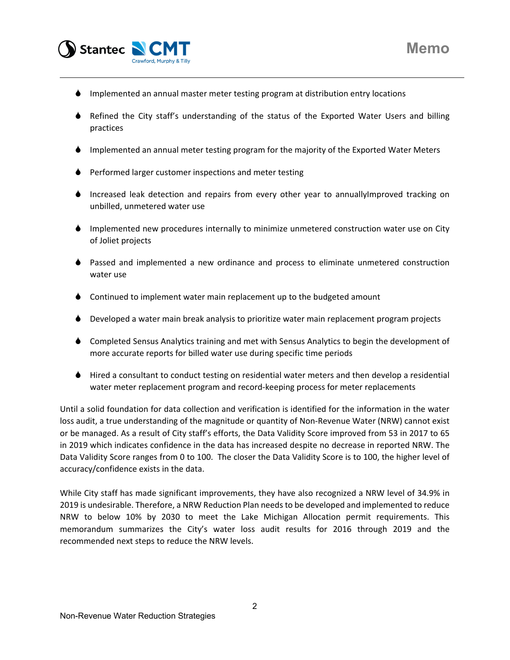

- $\bullet$  Implemented an annual master meter testing program at distribution entry locations
- Refined the City staff's understanding of the status of the Exported Water Users and billing practices
- Implemented an annual meter testing program for the majority of the Exported Water Meters
- **Performed larger customer inspections and meter testing**
- Increased leak detection and repairs from every other year to annuallyImproved tracking on unbilled, unmetered water use
- Implemented new procedures internally to minimize unmetered construction water use on City of Joliet projects
- Passed and implemented a new ordinance and process to eliminate unmetered construction water use
- ♦ Continued to implement water main replacement up to the budgeted amount
- Developed a water main break analysis to prioritize water main replacement program projects
- Completed Sensus Analytics training and met with Sensus Analytics to begin the development of more accurate reports for billed water use during specific time periods
- Hired a consultant to conduct testing on residential water meters and then develop a residential water meter replacement program and record-keeping process for meter replacements

Until a solid foundation for data collection and verification is identified for the information in the water loss audit, a true understanding of the magnitude or quantity of Non‐Revenue Water (NRW) cannot exist or be managed. As a result of City staff's efforts, the Data Validity Score improved from 53 in 2017 to 65 in 2019 which indicates confidence in the data has increased despite no decrease in reported NRW. The Data Validity Score ranges from 0 to 100. The closer the Data Validity Score is to 100, the higher level of accuracy/confidence exists in the data.

While City staff has made significant improvements, they have also recognized a NRW level of 34.9% in 2019 is undesirable. Therefore, a NRW Reduction Plan needs to be developed and implemented to reduce NRW to below 10% by 2030 to meet the Lake Michigan Allocation permit requirements. This memorandum summarizes the City's water loss audit results for 2016 through 2019 and the recommended next steps to reduce the NRW levels.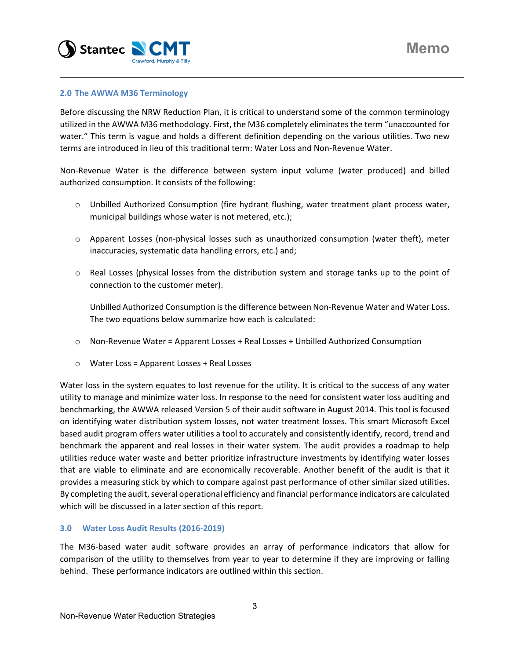

## **2.0 The AWWA M36 Terminology**

Before discussing the NRW Reduction Plan, it is critical to understand some of the common terminology utilized in the AWWA M36 methodology. First, the M36 completely eliminates the term "unaccounted for water." This term is vague and holds a different definition depending on the various utilities. Two new terms are introduced in lieu of this traditional term: Water Loss and Non‐Revenue Water.

Non‐Revenue Water is the difference between system input volume (water produced) and billed authorized consumption. It consists of the following:

- o Unbilled Authorized Consumption (fire hydrant flushing, water treatment plant process water, municipal buildings whose water is not metered, etc.);
- o Apparent Losses (non‐physical losses such as unauthorized consumption (water theft), meter inaccuracies, systematic data handling errors, etc.) and;
- $\circ$  Real Losses (physical losses from the distribution system and storage tanks up to the point of connection to the customer meter).

Unbilled Authorized Consumption isthe difference between Non‐Revenue Water and Water Loss. The two equations below summarize how each is calculated:

- o Non‐Revenue Water = Apparent Losses + Real Losses + Unbilled Authorized Consumption
- o Water Loss = Apparent Losses + Real Losses

Water loss in the system equates to lost revenue for the utility. It is critical to the success of any water utility to manage and minimize water loss. In response to the need for consistent water loss auditing and benchmarking, the AWWA released Version 5 of their audit software in August 2014. This tool is focused on identifying water distribution system losses, not water treatment losses. This smart Microsoft Excel based audit program offers water utilities a tool to accurately and consistently identify, record, trend and benchmark the apparent and real losses in their water system. The audit provides a roadmap to help utilities reduce water waste and better prioritize infrastructure investments by identifying water losses that are viable to eliminate and are economically recoverable. Another benefit of the audit is that it provides a measuring stick by which to compare against past performance of other similar sized utilities. By completing the audit, several operational efficiency and financial performance indicators are calculated which will be discussed in a later section of this report.

# **3.0 Water Loss Audit Results (2016‐2019)**

The M36‐based water audit software provides an array of performance indicators that allow for comparison of the utility to themselves from year to year to determine if they are improving or falling behind. These performance indicators are outlined within this section.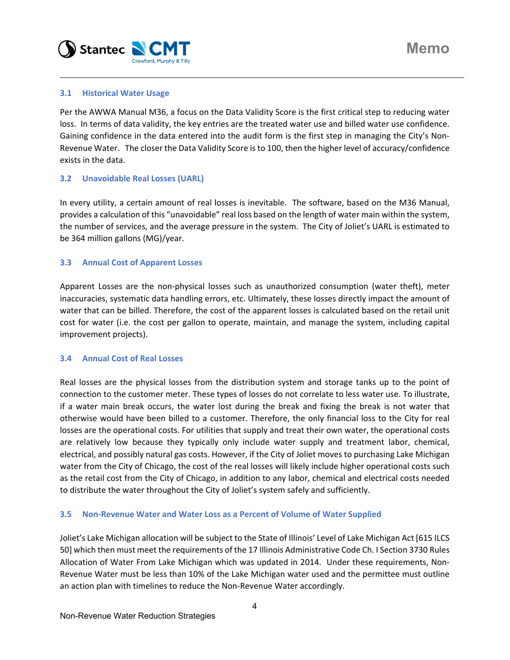

# **3.1 Historical Water Usage**

Per the AWWA Manual M36, a focus on the Data Validity Score is the first critical step to reducing water loss. In terms of data validity, the key entries are the treated water use and billed water use confidence. Gaining confidence in the data entered into the audit form is the first step in managing the City's Non‐ Revenue Water. The closer the Data Validity Score is to 100, then the higher level of accuracy/confidence exists in the data.

## **3.2 Unavoidable Real Losses (UARL)**

In every utility, a certain amount of real losses is inevitable. The software, based on the M36 Manual, provides a calculation of this "unavoidable" real loss based on the length of water main within the system, the number of services, and the average pressure in the system. The City of Joliet's UARL is estimated to be 364 million gallons (MG)/year.

## **3.3 Annual Cost of Apparent Losses**

Apparent Losses are the non‐physical losses such as unauthorized consumption (water theft), meter inaccuracies, systematic data handling errors, etc. Ultimately, these losses directly impact the amount of water that can be billed. Therefore, the cost of the apparent losses is calculated based on the retail unit cost for water (i.e. the cost per gallon to operate, maintain, and manage the system, including capital improvement projects).

### **3.4 Annual Cost of Real Losses**

Real losses are the physical losses from the distribution system and storage tanks up to the point of connection to the customer meter. These types of losses do not correlate to less water use. To illustrate, if a water main break occurs, the water lost during the break and fixing the break is not water that otherwise would have been billed to a customer. Therefore, the only financial loss to the City for real losses are the operational costs. For utilities that supply and treat their own water, the operational costs are relatively low because they typically only include water supply and treatment labor, chemical, electrical, and possibly natural gas costs. However, if the City of Joliet moves to purchasing Lake Michigan water from the City of Chicago, the cost of the real losses will likely include higher operational costs such as the retail cost from the City of Chicago, in addition to any labor, chemical and electrical costs needed to distribute the water throughout the City of Joliet's system safely and sufficiently.

# **3.5 Non‐Revenue Water and Water Loss as a Percent of Volume of Water Supplied**

Joliet's Lake Michigan allocation will be subject to the State of Illinois' Level of Lake Michigan Act [615 ILCS 50] which then must meet the requirements of the 17 Illinois Administrative Code Ch. I Section 3730 Rules Allocation of Water From Lake Michigan which was updated in 2014. Under these requirements, Non‐ Revenue Water must be less than 10% of the Lake Michigan water used and the permittee must outline an action plan with timelines to reduce the Non‐Revenue Water accordingly.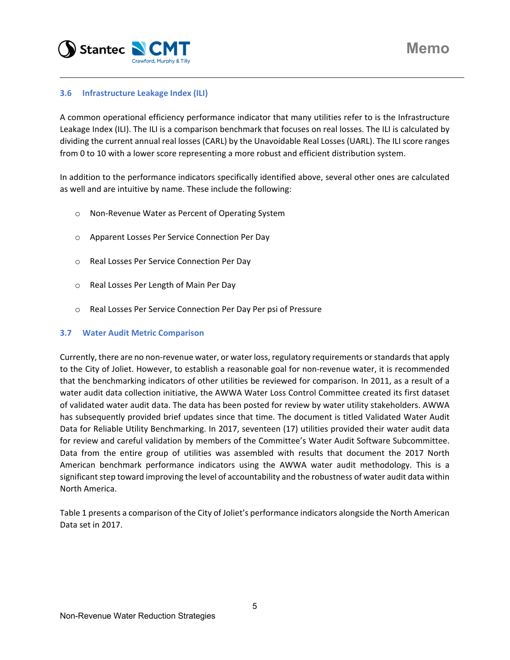

# **3.6 Infrastructure Leakage Index (ILI)**

A common operational efficiency performance indicator that many utilities refer to is the Infrastructure Leakage Index (ILI). The ILI is a comparison benchmark that focuses on real losses. The ILI is calculated by dividing the current annual real losses (CARL) by the Unavoidable Real Losses (UARL). The ILI score ranges from 0 to 10 with a lower score representing a more robust and efficient distribution system.

In addition to the performance indicators specifically identified above, several other ones are calculated as well and are intuitive by name. These include the following:

- o Non‐Revenue Water as Percent of Operating System
- o Apparent Losses Per Service Connection Per Day
- o Real Losses Per Service Connection Per Day
- o Real Losses Per Length of Main Per Day
- o Real Losses Per Service Connection Per Day Per psi of Pressure

# **3.7 Water Audit Metric Comparison**

Currently, there are no non-revenue water, or water loss, regulatory requirements or standards that apply to the City of Joliet. However, to establish a reasonable goal for non-revenue water, it is recommended that the benchmarking indicators of other utilities be reviewed for comparison. In 2011, as a result of a water audit data collection initiative, the AWWA Water Loss Control Committee created its first dataset of validated water audit data. The data has been posted for review by water utility stakeholders. AWWA has subsequently provided brief updates since that time. The document is titled Validated Water Audit Data for Reliable Utility Benchmarking. In 2017, seventeen (17) utilities provided their water audit data for review and careful validation by members of the Committee's Water Audit Software Subcommittee. Data from the entire group of utilities was assembled with results that document the 2017 North American benchmark performance indicators using the AWWA water audit methodology. This is a significant step toward improving the level of accountability and the robustness of water audit data within North America.

Table 1 presents a comparison of the City of Joliet's performance indicators alongside the North American Data set in 2017.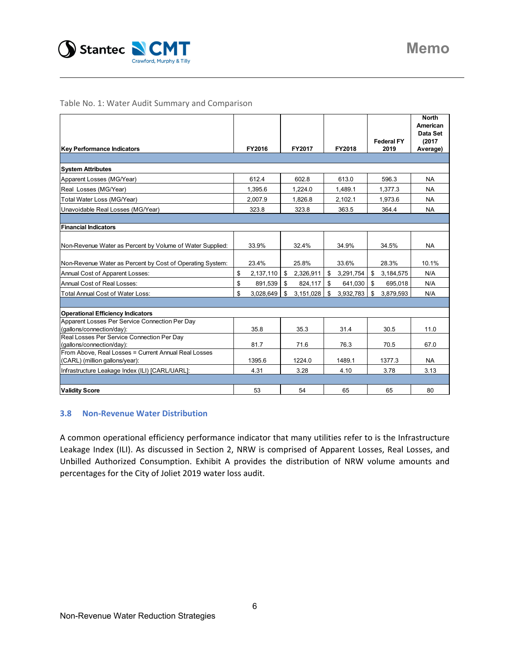

Table No. 1: Water Audit Summary and Comparison

|                                                           |                 |                 |                 |                             | <b>North</b><br>American |
|-----------------------------------------------------------|-----------------|-----------------|-----------------|-----------------------------|--------------------------|
|                                                           |                 |                 |                 |                             | Data Set                 |
|                                                           |                 |                 |                 | <b>Federal FY</b>           | (2017)                   |
| <b>Key Performance Indicators</b>                         | FY2016          | FY2017          | <b>FY2018</b>   | 2019                        | Average)                 |
|                                                           |                 |                 |                 |                             |                          |
| <b>System Attributes</b>                                  |                 |                 |                 |                             |                          |
| Apparent Losses (MG/Year)                                 | 612.4           | 602.8           | 613.0           | 596.3                       | <b>NA</b>                |
| Real Losses (MG/Year)                                     | 1,395.6         | 1.224.0         | 1.489.1         | 1,377.3                     | <b>NA</b>                |
| Total Water Loss (MG/Year)                                | 2,007.9         | 1.826.8         | 2,102.1         | 1,973.6                     | <b>NA</b>                |
| Unavoidable Real Losses (MG/Year)                         | 323.8           | 323.8           | 363.5           | 364.4                       | <b>NA</b>                |
|                                                           |                 |                 |                 |                             |                          |
| <b>Financial Indicators</b>                               |                 |                 |                 |                             |                          |
|                                                           |                 |                 |                 |                             |                          |
| Non-Revenue Water as Percent by Volume of Water Supplied: | 33.9%           | 32.4%           | 34.9%           | 34.5%                       | <b>NA</b>                |
|                                                           |                 |                 |                 |                             |                          |
| Non-Revenue Water as Percent by Cost of Operating System: | 23.4%           | 25.8%           | 33.6%           | 28.3%                       | 10.1%                    |
| Annual Cost of Apparent Losses:                           | \$<br>2,137,110 | \$<br>2,326,911 | \$<br>3,291,754 | $\mathfrak{S}$<br>3,184,575 | N/A                      |
| Annual Cost of Real Losses:                               | \$<br>891,539   | \$<br>824,117   | \$<br>641,030   | \$<br>695,018               | N/A                      |
| <b>Total Annual Cost of Water Loss:</b>                   | \$<br>3,028,649 | 3,151,028<br>\$ | \$<br>3,932,783 | \$<br>3,879,593             | N/A                      |
|                                                           |                 |                 |                 |                             |                          |
| <b>Operational Efficiency Indicators</b>                  |                 |                 |                 |                             |                          |
| Apparent Losses Per Service Connection Per Day            |                 |                 |                 |                             |                          |
| (gallons/connection/day):                                 | 35.8            | 35.3            | 31.4            | 30.5                        | 11.0                     |
| Real Losses Per Service Connection Per Day                |                 |                 |                 |                             |                          |
| (gallons/connection/day):                                 | 81.7            | 71.6            | 76.3            | 70.5                        | 67.0                     |
| From Above, Real Losses = Current Annual Real Losses      |                 |                 |                 |                             |                          |
| (CARL) (million gallons/year):                            | 1395.6          | 1224.0          | 1489.1          | 1377.3                      | NA.                      |
| Infrastructure Leakage Index (ILI) [CARL/UARL]:           | 4.31            | 3.28            | 4.10            | 3.78                        | 3.13                     |
|                                                           |                 |                 |                 |                             |                          |
| <b>Validity Score</b>                                     | 53              | 54              | 65              | 65                          | 80                       |

### **3.8 Non‐Revenue Water Distribution**

A common operational efficiency performance indicator that many utilities refer to is the Infrastructure Leakage Index (ILI). As discussed in Section 2, NRW is comprised of Apparent Losses, Real Losses, and Unbilled Authorized Consumption. Exhibit A provides the distribution of NRW volume amounts and percentages for the City of Joliet 2019 water loss audit.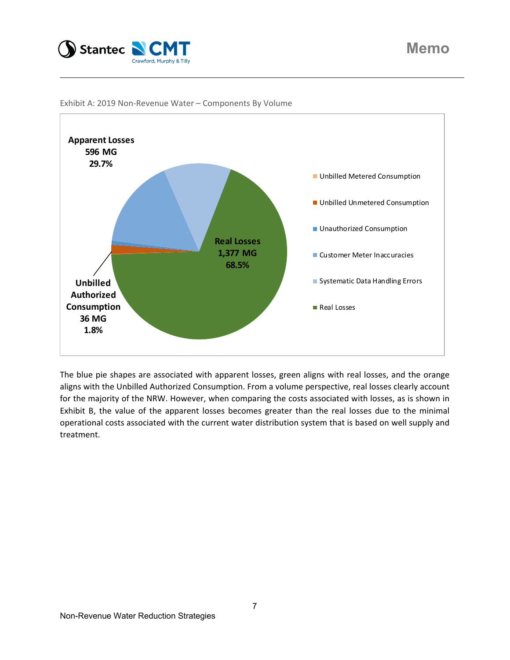





The blue pie shapes are associated with apparent losses, green aligns with real losses, and the orange aligns with the Unbilled Authorized Consumption. From a volume perspective, real losses clearly account for the majority of the NRW. However, when comparing the costs associated with losses, as is shown in Exhibit B, the value of the apparent losses becomes greater than the real losses due to the minimal operational costs associated with the current water distribution system that is based on well supply and treatment.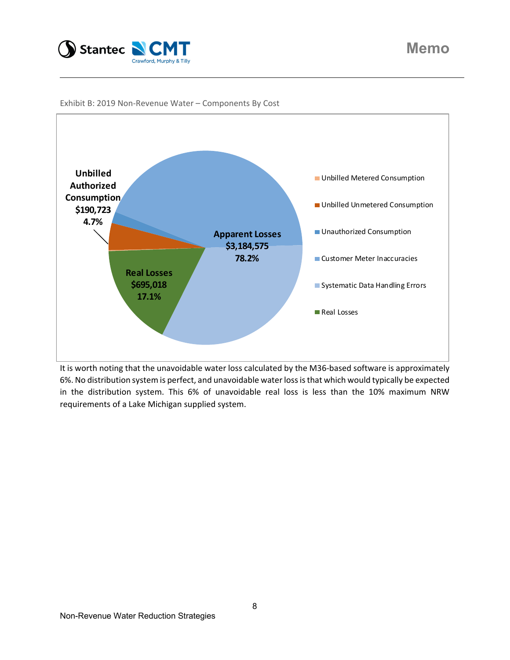



Exhibit B: 2019 Non‐Revenue Water – Components By Cost

It is worth noting that the unavoidable water loss calculated by the M36‐based software is approximately 6%. No distribution system is perfect, and unavoidable waterlossisthat which would typically be expected in the distribution system. This 6% of unavoidable real loss is less than the 10% maximum NRW requirements of a Lake Michigan supplied system.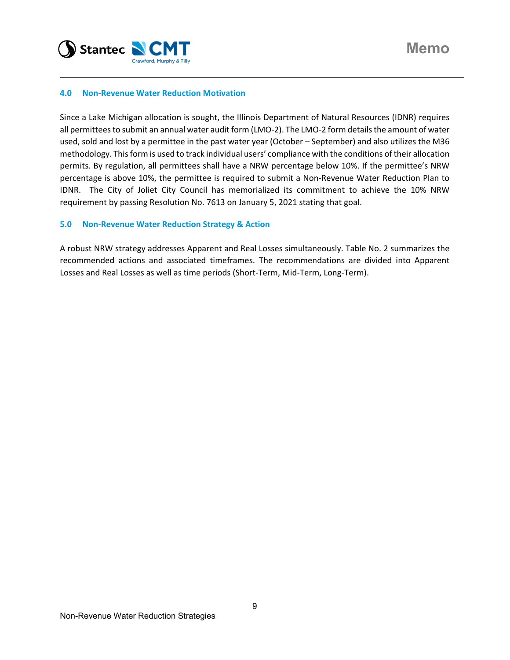

### **4.0 Non‐Revenue Water Reduction Motivation**

Since a Lake Michigan allocation is sought, the Illinois Department of Natural Resources (IDNR) requires all permittees to submit an annual water audit form (LMO-2). The LMO-2 form details the amount of water used, sold and lost by a permittee in the past water year (October – September) and also utilizes the M36 methodology. Thisform is used to track individual users' compliance with the conditions of their allocation permits. By regulation, all permittees shall have a NRW percentage below 10%. If the permittee's NRW percentage is above 10%, the permittee is required to submit a Non‐Revenue Water Reduction Plan to IDNR. The City of Joliet City Council has memorialized its commitment to achieve the 10% NRW requirement by passing Resolution No. 7613 on January 5, 2021 stating that goal.

### **5.0 Non‐Revenue Water Reduction Strategy & Action**

A robust NRW strategy addresses Apparent and Real Losses simultaneously. Table No. 2 summarizes the recommended actions and associated timeframes. The recommendations are divided into Apparent Losses and Real Losses as well as time periods (Short‐Term, Mid‐Term, Long‐Term).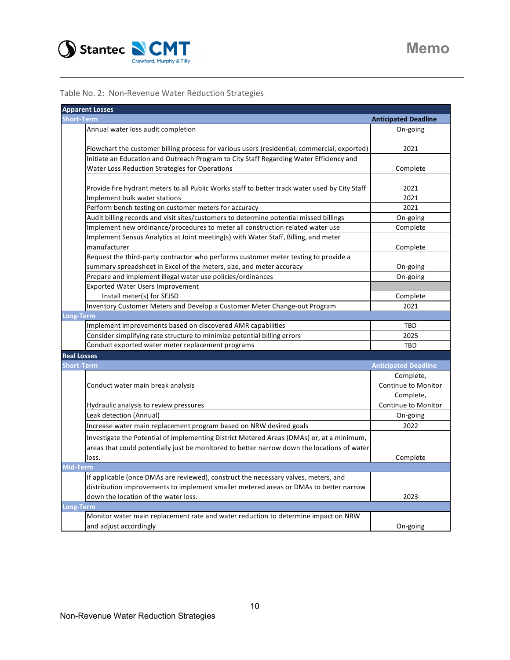

Table No. 2: Non‐Revenue Water Reduction Strategies

| <b>Apparent Losses</b> |                                                                                                |                             |
|------------------------|------------------------------------------------------------------------------------------------|-----------------------------|
| Short-Term             |                                                                                                | <b>Anticipated Deadline</b> |
|                        | Annual water loss audit completion                                                             | On-going                    |
|                        |                                                                                                |                             |
|                        | Flowchart the customer billing process for various users (residential, commercial, exported)   | 2021                        |
|                        | Initiate an Education and Outreach Program to City Staff Regarding Water Efficiency and        |                             |
|                        | Water Loss Reduction Strategies for Operations                                                 | Complete                    |
|                        |                                                                                                |                             |
|                        | Provide fire hydrant meters to all Public Works staff to better track water used by City Staff | 2021                        |
|                        | Implement bulk water stations                                                                  | 2021                        |
|                        | Perform bench testing on customer meters for accuracy                                          | 2021                        |
|                        | Audit billing records and visit sites/customers to determine potential missed billings         | On-going                    |
|                        | Implement new ordinance/procedures to meter all construction related water use                 | Complete                    |
|                        | Implement Sensus Analytics at Joint meeting(s) with Water Staff, Billing, and meter            |                             |
|                        | manufacturer                                                                                   | Complete                    |
|                        | Request the third-party contractor who performs customer meter testing to provide a            |                             |
|                        | summary spreadsheet in Excel of the meters, size, and meter accuracy                           | On-going                    |
|                        | Prepare and implement illegal water use policies/ordinances                                    | On-going                    |
|                        | <b>Exported Water Users Improvement</b>                                                        |                             |
|                        | Install meter(s) for SEJSD                                                                     | Complete                    |
|                        | Inventory Customer Meters and Develop a Customer Meter Change-out Program                      | 2021                        |
| Long-Term              |                                                                                                |                             |
|                        | Implement improvements based on discovered AMR capabilities                                    | TBD                         |
|                        | Consider simplifying rate structure to minimize potential billing errors                       | 2025                        |
|                        | Conduct exported water meter replacement programs                                              | TBD                         |
| <b>Real Losses</b>     |                                                                                                |                             |
| Short-Term             |                                                                                                | <b>Anticipated Deadline</b> |
|                        |                                                                                                | Complete,                   |
|                        | Conduct water main break analysis                                                              | Continue to Monitor         |
|                        |                                                                                                | Complete,                   |
|                        | Hydraulic analysis to review pressures                                                         | Continue to Monitor         |
|                        | Leak detection (Annual)                                                                        | On-going                    |
|                        | Increase water main replacement program based on NRW desired goals                             | 2022                        |
|                        | Investigate the Potential of implementing District Metered Areas (DMAs) or, at a minimum,      |                             |
|                        | areas that could potentially just be monitored to better narrow down the locations of water    |                             |
|                        | loss.                                                                                          | Complete                    |
| Mid-Term               |                                                                                                |                             |
|                        | If applicable (once DMAs are reviewed), construct the necessary valves, meters, and            |                             |
|                        | distribution improvements to implement smaller metered areas or DMAs to better narrow          |                             |
|                        | down the location of the water loss.                                                           | 2023                        |
| Long-Tern              |                                                                                                |                             |
|                        | Monitor water main replacement rate and water reduction to determine impact on NRW             |                             |
|                        | and adjust accordingly                                                                         | On-going                    |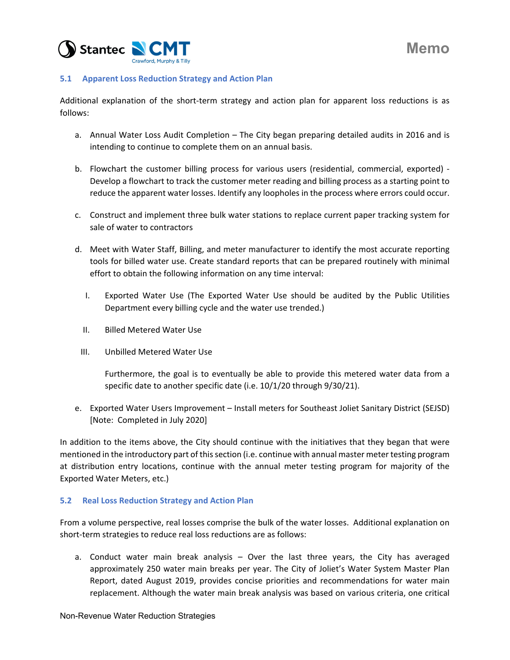

# **5.1 Apparent Loss Reduction Strategy and Action Plan**

Additional explanation of the short‐term strategy and action plan for apparent loss reductions is as follows:

- a. Annual Water Loss Audit Completion The City began preparing detailed audits in 2016 and is intending to continue to complete them on an annual basis.
- b. Flowchart the customer billing process for various users (residential, commercial, exported) -Develop a flowchart to track the customer meter reading and billing process as a starting point to reduce the apparent water losses. Identify any loopholes in the process where errors could occur.
- c. Construct and implement three bulk water stations to replace current paper tracking system for sale of water to contractors
- d. Meet with Water Staff, Billing, and meter manufacturer to identify the most accurate reporting tools for billed water use. Create standard reports that can be prepared routinely with minimal effort to obtain the following information on any time interval:
	- I. Exported Water Use (The Exported Water Use should be audited by the Public Utilities Department every billing cycle and the water use trended.)
	- II. Billed Metered Water Use
	- III. Unbilled Metered Water Use

Furthermore, the goal is to eventually be able to provide this metered water data from a specific date to another specific date (i.e. 10/1/20 through 9/30/21).

e. Exported Water Users Improvement – Install meters for Southeast Joliet Sanitary District (SEJSD) [Note: Completed in July 2020]

In addition to the items above, the City should continue with the initiatives that they began that were mentioned in the introductory part of this section (i.e. continue with annual master meter testing program at distribution entry locations, continue with the annual meter testing program for majority of the Exported Water Meters, etc.)

### **5.2 Real Loss Reduction Strategy and Action Plan**

From a volume perspective, real losses comprise the bulk of the water losses. Additional explanation on short-term strategies to reduce real loss reductions are as follows:

a. Conduct water main break analysis – Over the last three years, the City has averaged approximately 250 water main breaks per year. The City of Joliet's Water System Master Plan Report, dated August 2019, provides concise priorities and recommendations for water main replacement. Although the water main break analysis was based on various criteria, one critical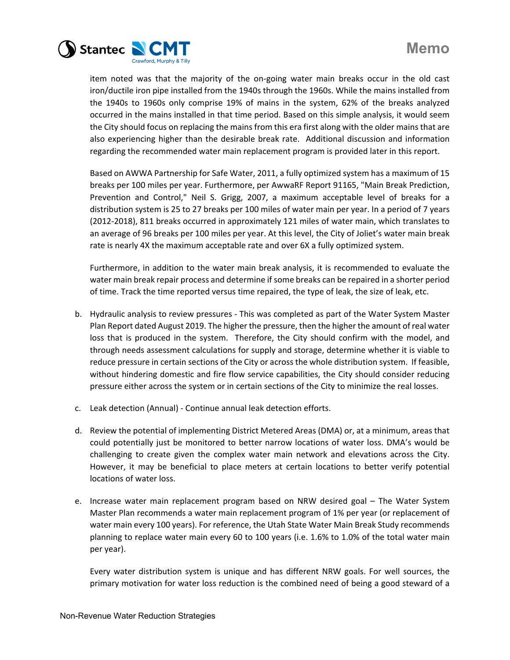

item noted was that the majority of the on‐going water main breaks occur in the old cast iron/ductile iron pipe installed from the 1940s through the 1960s. While the mains installed from the 1940s to 1960s only comprise 19% of mains in the system, 62% of the breaks analyzed occurred in the mains installed in that time period. Based on this simple analysis, it would seem the City should focus on replacing the mains from this era first along with the older mains that are also experiencing higher than the desirable break rate. Additional discussion and information regarding the recommended water main replacement program is provided later in this report.

Based on AWWA Partnership for Safe Water, 2011, a fully optimized system has a maximum of 15 breaks per 100 miles per year. Furthermore, per AwwaRF Report 91165, "Main Break Prediction, Prevention and Control," Neil S. Grigg, 2007, a maximum acceptable level of breaks for a distribution system is 25 to 27 breaks per 100 miles of water main per year. In a period of 7 years (2012‐2018), 811 breaks occurred in approximately 121 miles of water main, which translates to an average of 96 breaks per 100 miles per year. At this level, the City of Joliet's water main break rate is nearly 4X the maximum acceptable rate and over 6X a fully optimized system.

Furthermore, in addition to the water main break analysis, it is recommended to evaluate the water main break repair process and determine ifsome breaks can be repaired in a shorter period of time. Track the time reported versus time repaired, the type of leak, the size of leak, etc.

- b. Hydraulic analysis to review pressures ‐ This was completed as part of the Water System Master Plan Report dated August 2019. The higher the pressure, then the higher the amount of real water loss that is produced in the system. Therefore, the City should confirm with the model, and through needs assessment calculations for supply and storage, determine whether it is viable to reduce pressure in certain sections of the City or across the whole distribution system. If feasible, without hindering domestic and fire flow service capabilities, the City should consider reducing pressure either across the system or in certain sections of the City to minimize the real losses.
- c. Leak detection (Annual) ‐ Continue annual leak detection efforts.
- d. Review the potential of implementing District Metered Areas (DMA) or, at a minimum, areas that could potentially just be monitored to better narrow locations of water loss. DMA's would be challenging to create given the complex water main network and elevations across the City. However, it may be beneficial to place meters at certain locations to better verify potential locations of water loss.
- e. Increase water main replacement program based on NRW desired goal The Water System Master Plan recommends a water main replacement program of 1% per year (or replacement of water main every 100 years). For reference, the Utah State Water Main Break Study recommends planning to replace water main every 60 to 100 years (i.e. 1.6% to 1.0% of the total water main per year).

Every water distribution system is unique and has different NRW goals. For well sources, the primary motivation for water loss reduction is the combined need of being a good steward of a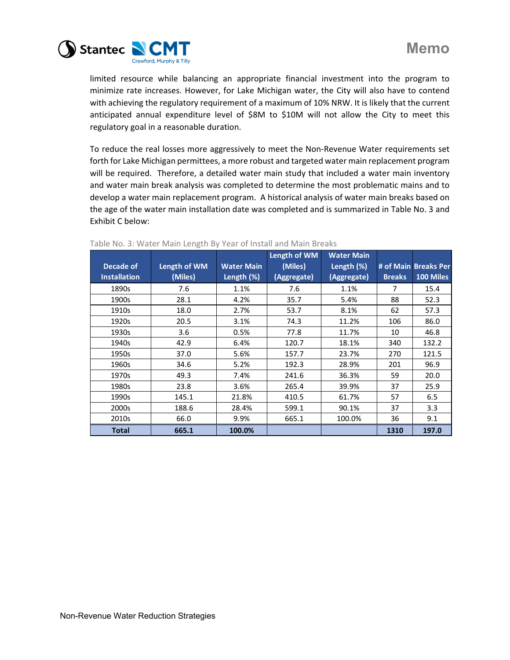

limited resource while balancing an appropriate financial investment into the program to minimize rate increases. However, for Lake Michigan water, the City will also have to contend with achieving the regulatory requirement of a maximum of 10% NRW. It is likely that the current anticipated annual expenditure level of \$8M to \$10M will not allow the City to meet this regulatory goal in a reasonable duration.

To reduce the real losses more aggressively to meet the Non‐Revenue Water requirements set forth for Lake Michigan permittees, a more robust and targeted water main replacement program will be required. Therefore, a detailed water main study that included a water main inventory and water main break analysis was completed to determine the most problematic mains and to develop a water main replacement program. A historical analysis of water main breaks based on the age of the water main installation date was completed and is summarized in Table No. 3 and Exhibit C below:

|                     |              |                   | Length of WM | <b>Water Main</b> |               |                      |
|---------------------|--------------|-------------------|--------------|-------------------|---------------|----------------------|
| Decade of           | Length of WM | <b>Water Main</b> | (Miles)      | Length $(\%)$     |               | # of Main Breaks Per |
| <b>Installation</b> | (Miles)      | Length (%)        | (Aggregate)  | (Aggregate)       | <b>Breaks</b> | 100 Miles            |
| 1890s               | 7.6          | 1.1%              | 7.6          | 1.1%              | 7             | 15.4                 |
| 1900s               | 28.1         | 4.2%              | 35.7         | 5.4%              | 88            | 52.3                 |
| 1910s               | 18.0         | 2.7%              | 53.7         | 8.1%              | 62            | 57.3                 |
| 1920s               | 20.5         | 3.1%              | 74.3         | 11.2%             | 106           | 86.0                 |
| 1930s               | 3.6          | 0.5%              | 77.8         | 11.7%             | 10            | 46.8                 |
| 1940s               | 42.9         | 6.4%              | 120.7        | 18.1%             | 340           | 132.2                |
| 1950s               | 37.0         | 5.6%              | 157.7        | 23.7%             | 270           | 121.5                |
| 1960s               | 34.6         | 5.2%              | 192.3        | 28.9%             | 201           | 96.9                 |
| 1970s               | 49.3         | 7.4%              | 241.6        | 36.3%             | 59            | 20.0                 |
| 1980s               | 23.8         | $3.6\%$           | 265.4        | 39.9%             | 37            | 25.9                 |
| 1990s               | 145.1        | 21.8%             | 410.5        | 61.7%             | 57            | 6.5                  |
| 2000s               | 188.6        | 28.4%             | 599.1        | 90.1%             | 37            | 3.3                  |
| 2010s               | 66.0         | 9.9%              | 665.1        | 100.0%            | 36            | 9.1                  |
| <b>Total</b>        | 665.1        | 100.0%            |              |                   | 1310          | 197.0                |

#### Table No. 3: Water Main Length By Year of Install and Main Breaks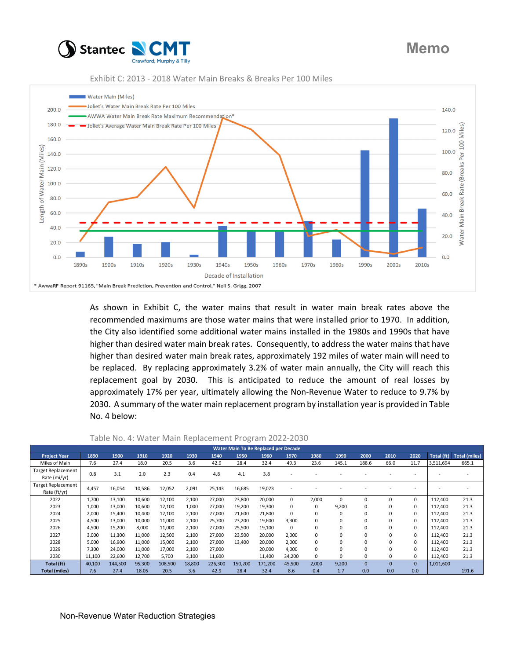





As shown in Exhibit C, the water mains that result in water main break rates above the recommended maximums are those water mains that were installed prior to 1970. In addition, the City also identified some additional water mains installed in the 1980s and 1990s that have higher than desired water main break rates. Consequently, to address the water mains that have higher than desired water main break rates, approximately 192 miles of water main will need to be replaced. By replacing approximately 3.2% of water main annually, the City will reach this replacement goal by 2030. This is anticipated to reduce the amount of real losses by approximately 17% per year, ultimately allowing the Non-Revenue Water to reduce to 9.7% by 2030. A summary of the water main replacement program by installation year is provided in Table No. 4 below:

| Water Main To Be Replaced per Decade      |        |         |        |         |        |         |         |         |          |       |          |             |          |          |            |                      |
|-------------------------------------------|--------|---------|--------|---------|--------|---------|---------|---------|----------|-------|----------|-------------|----------|----------|------------|----------------------|
| <b>Project Year</b>                       | 1890   | 1900    | 1910   | 1920    | 1930   | 1940    | 1950    | 1960    | 1970     | 1980  | 1990     | 2000        | 2010     | 2020     | Total (ft) | <b>Total (miles)</b> |
| Miles of Main                             | 7.6    | 27.4    | 18.0   | 20.5    | 3.6    | 42.9    | 28.4    | 32.4    | 49.3     | 23.6  | 145.1    | 188.6       | 66.0     | 11.7     | 3,511,694  | 665.1                |
| Target Replacement<br>Rate (mi/yr)        | 0.8    | 3.1     | 2.0    | 2.3     | 0.4    | 4.8     | 4.1     | 3.8     |          |       |          |             |          |          |            |                      |
| <b>Target Replacement</b><br>Rate (ft/yr) | 4.457  | 16,054  | 10,586 | 12,052  | 2,091  | 25,143  | 16,685  | 19,023  |          |       |          |             |          |          |            |                      |
| 2022                                      | 1,700  | 13,100  | 10,600 | 12,100  | 2,100  | 27,000  | 23,800  | 20,000  | $\Omega$ | 2,000 | $\Omega$ | $\mathbf 0$ | 0        | $\Omega$ | 112.400    | 21.3                 |
| 2023                                      | 1,000  | 13,000  | 10,600 | 12,100  | 1,000  | 27,000  | 19,200  | 19,300  | 0        | 0     | 9,200    | 0           | 0        | $\Omega$ | 112.400    | 21.3                 |
| 2024                                      | 2,000  | 15,400  | 10,400 | 12,100  | 2,100  | 27,000  | 21,600  | 21,800  | 0        | 0     | $\Omega$ | $\Omega$    | 0        | $\Omega$ | 112,400    | 21.3                 |
| 2025                                      | 4,500  | 13,000  | 10,000 | 11,000  | 2,100  | 25,700  | 23,200  | 19,600  | 3,300    | 0     | $\Omega$ | $\mathbf 0$ | 0        | $\Omega$ | 112.400    | 21.3                 |
| 2026                                      | 4,500  | 15,200  | 8,000  | 11,000  | 2,100  | 27,000  | 25,500  | 19,100  | $\Omega$ | 0     | $\Omega$ | $\mathbf 0$ | 0        | $\Omega$ | 112.400    | 21.3                 |
| 2027                                      | 3,000  | 11,300  | 11,000 | 12,500  | 2,100  | 27,000  | 23,500  | 20,000  | 2,000    | 0     | $\Omega$ | $\Omega$    | 0        | $\Omega$ | 112,400    | 21.3                 |
| 2028                                      | 5,000  | 16,900  | 11,000 | 15,000  | 2,100  | 27.000  | 13.400  | 20,000  | 2.000    | 0     | $\Omega$ | $\mathbf 0$ | 0        | $\Omega$ | 112.400    | 21.3                 |
| 2029                                      | 7,300  | 24,000  | 11,000 | 17,000  | 2,100  | 27,000  |         | 20,000  | 4,000    | 0     | $\Omega$ | $\Omega$    | 0        | $\Omega$ | 112.400    | 21.3                 |
| 2030                                      | 11,100 | 22,600  | 12,700 | 5,700   | 3,100  | 11,600  |         | 11,400  | 34,200   | 0     | $\Omega$ | $\Omega$    | 0        | $\Omega$ | 112,400    | 21.3                 |
| Total (ft)                                | 40,100 | 144,500 | 95,300 | 108,500 | 18,800 | 226,300 | 150,200 | 171,200 | 45,500   | 2,000 | 9,200    | $\Omega$    | $\Omega$ | $\Omega$ | 1,011,600  |                      |
| <b>Total (miles)</b>                      | 7.6    | 27.4    | 18.05  | 20.5    | 3.6    | 42.9    | 28.4    | 32.4    | 8.6      | 0.4   | 1.7      | 0.0         | 0.0      | 0.0      |            | 191.6                |

Table No. 4: Water Main Replacement Program 2022‐2030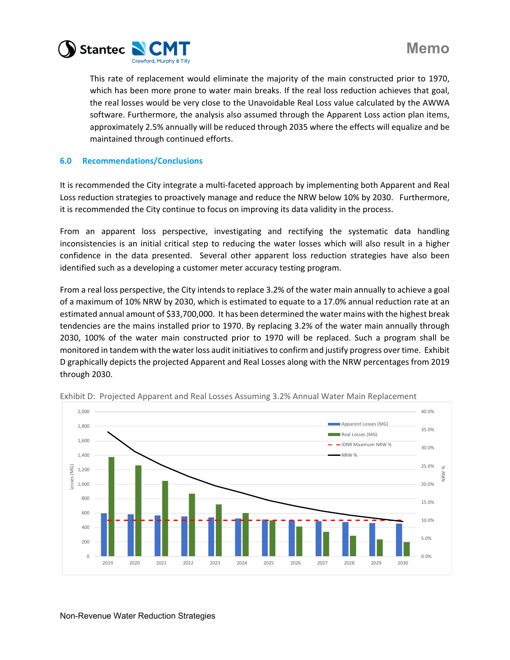

This rate of replacement would eliminate the majority of the main constructed prior to 1970, which has been more prone to water main breaks. If the real loss reduction achieves that goal, the real losses would be very close to the Unavoidable Real Loss value calculated by the AWWA software. Furthermore, the analysis also assumed through the Apparent Loss action plan items, approximately 2.5% annually will be reduced through 2035 where the effects will equalize and be maintained through continued efforts.

# **6.0 Recommendations/Conclusions**

It is recommended the City integrate a multi-faceted approach by implementing both Apparent and Real Loss reduction strategies to proactively manage and reduce the NRW below 10% by 2030. Furthermore, it is recommended the City continue to focus on improving its data validity in the process.

From an apparent loss perspective, investigating and rectifying the systematic data handling inconsistencies is an initial critical step to reducing the water losses which will also result in a higher confidence in the data presented. Several other apparent loss reduction strategies have also been identified such as a developing a customer meter accuracy testing program.

From a real loss perspective, the City intends to replace 3.2% of the water main annually to achieve a goal of a maximum of 10% NRW by 2030, which is estimated to equate to a 17.0% annual reduction rate at an estimated annual amount of \$33,700,000. It has been determined the water mains with the highest break tendencies are the mains installed prior to 1970. By replacing 3.2% of the water main annually through 2030, 100% of the water main constructed prior to 1970 will be replaced. Such a program shall be monitored in tandem with the water loss audit initiatives to confirm and justify progress over time. Exhibit D graphically depicts the projected Apparent and Real Losses along with the NRW percentages from 2019 through 2030.



Exhibit D: Projected Apparent and Real Losses Assuming 3.2% Annual Water Main Replacement